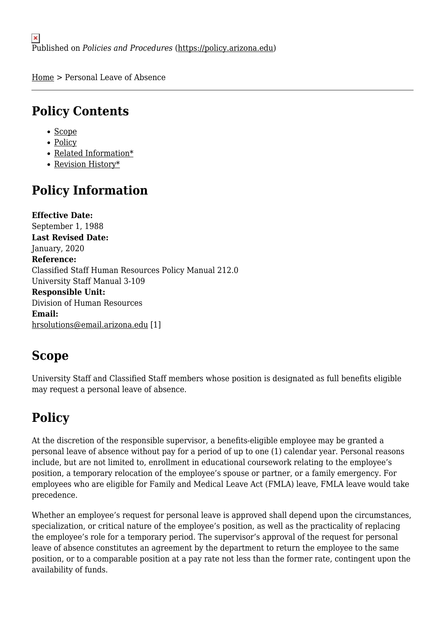[Home](https://policy.arizona.edu/) > Personal Leave of Absence

## **Policy Contents**

- [Scope](#page-0-0)
- [Policy](#page-0-1)
- [Related Information\\*](#page-1-0)
- [Revision History\\*](#page-1-1)

# **Policy Information**

**Effective Date:**  September 1, 1988 **Last Revised Date:**  January, 2020 **Reference:**  Classified Staff Human Resources Policy Manual 212.0 University Staff Manual 3-109 **Responsible Unit:**  Division of Human Resources **Email:**  [hrsolutions@email.arizona.edu](mailto:hrsolutions@email.arizona.edu) [1]

# <span id="page-0-0"></span>**Scope**

University Staff and Classified Staff members whose position is designated as full benefits eligible may request a personal leave of absence.

# <span id="page-0-1"></span>**Policy**

At the discretion of the responsible supervisor, a benefits-eligible employee may be granted a personal leave of absence without pay for a period of up to one (1) calendar year. Personal reasons include, but are not limited to, enrollment in educational coursework relating to the employee's position, a temporary relocation of the employee's spouse or partner, or a family emergency. For employees who are eligible for Family and Medical Leave Act (FMLA) leave, FMLA leave would take precedence.

Whether an employee's request for personal leave is approved shall depend upon the circumstances, specialization, or critical nature of the employee's position, as well as the practicality of replacing the employee's role for a temporary period. The supervisor's approval of the request for personal leave of absence constitutes an agreement by the department to return the employee to the same position, or to a comparable position at a pay rate not less than the former rate, contingent upon the availability of funds.